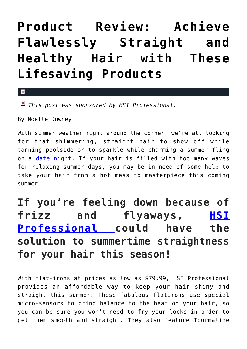## **[Product Review: Achieve](https://cupidspulse.com/117823/product-review-straight-hair-lifesaving-products/) [Flawlessly Straight and](https://cupidspulse.com/117823/product-review-straight-hair-lifesaving-products/) [Healthy Hair with These](https://cupidspulse.com/117823/product-review-straight-hair-lifesaving-products/) [Lifesaving Products](https://cupidspulse.com/117823/product-review-straight-hair-lifesaving-products/)**

 $\mathbf{\overline{x}}$ 

*This post was sponsored by HSI Professional.*

By Noelle Downey

With summer weather right around the corner, we're all looking for that shimmering, straight hair to show off while tanning poolside or to sparkle while charming a summer fling on a *date night*. If your hair is filled with too many waves for relaxing summer days, you may be in need of some help to take your hair from a hot mess to masterpiece this coming summer.

## **If you're feeling down because of frizz and flyaways, [HSI](https://www.hsiprofessional.com/collections/straightening-flat-irons-for-hair) [Professional](https://www.hsiprofessional.com/collections/straightening-flat-irons-for-hair) could have the solution to summertime straightness for your hair this season!**

With flat-irons at prices as low as \$79.99, HSI Professional provides an affordable way to keep your hair shiny and straight this summer. These fabulous flatirons use special micro-sensors to bring balance to the heat on your hair, so you can be sure you won't need to fry your locks in order to get them smooth and straight. They also feature Tourmaline